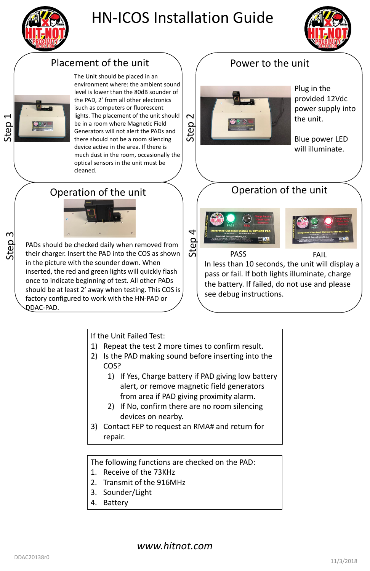

Step 3





PASS **FAIL** 



# HN-ICOS Installation Guide



### Placement of the unit  $\rangle$   $/$  Power to the unit

### *www.hitnot.com*



The Unit should be placed in an environment where: the ambient sound level is lower than the 80dB sounder of the PAD, 2' from all other electronics isuch as computers or fluorescent lights. The placement of the unit should be in a room where Magnetic Field Generators will not alert the PADs and there should not be a room silencing device active in the area. If there is much dust in the room, occasionally the optical sensors in the unit must be cleaned.

Plug in the provided 12Vdc power supply into the unit.

Blue power LED will illuminate.

### Operation of the unit



PADs should be checked daily when removed from their charger. Insert the PAD into the COS as shown in the picture with the sounder down. When inserted, the red and green lights will quickly flash once to indicate beginning of test. All other PADs should be at least 2' away when testing. This COS is factory configured to work with the HN-PAD or DDAC-PAD.

## Operation of the unit

In less than 10 seconds, the unit will display a pass or fail. If both lights illuminate, charge the battery. If failed, do not use and please see debug instructions.

If the Unit Failed Test:

- 1) Repeat the test 2 more times to confirm result.
- 2) Is the PAD making sound before inserting into the COS?
	- 1) If Yes, Charge battery if PAD giving low battery alert, or remove magnetic field generators from area if PAD giving proximity alarm.
	- 2) If No, confirm there are no room silencing devices on nearby.

3) Contact FEP to request an RMA# and return for repair.

The following functions are checked on the PAD:

- 1. Receive of the 73KHz
- 2. Transmit of the 916MHz
- 3. Sounder/Light
- 4. Battery